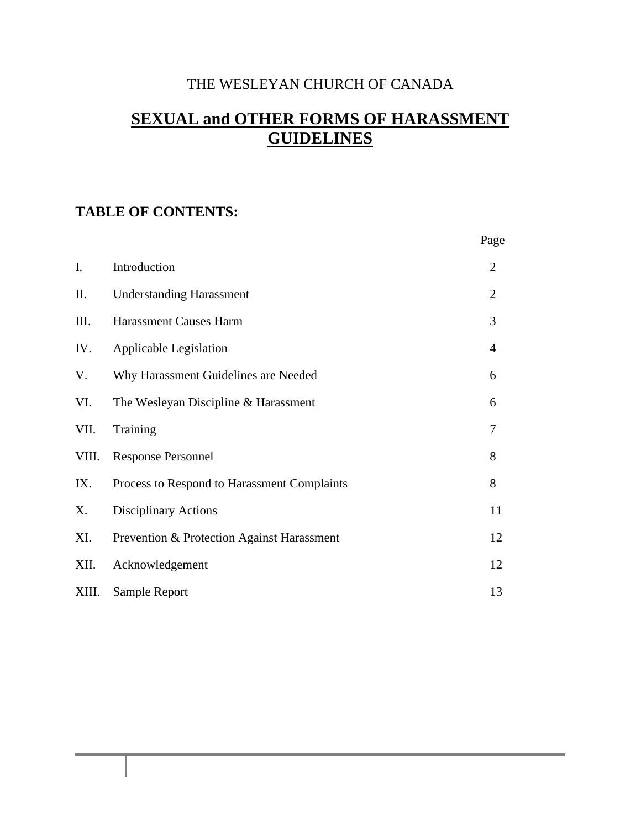# THE WESLEYAN CHURCH OF CANADA

# **SEXUAL and OTHER FORMS OF HARASSMENT GUIDELINES**

# **TABLE OF CONTENTS:**

|       |                                             | Page           |
|-------|---------------------------------------------|----------------|
| I.    | Introduction                                | $\overline{2}$ |
| Π.    | <b>Understanding Harassment</b>             | $\overline{2}$ |
| III.  | <b>Harassment Causes Harm</b>               | 3              |
| IV.   | Applicable Legislation                      | 4              |
| V.    | Why Harassment Guidelines are Needed        | 6              |
| VI.   | The Wesleyan Discipline & Harassment        | 6              |
| VII.  | Training                                    | 7              |
| VIII. | <b>Response Personnel</b>                   | 8              |
| IX.   | Process to Respond to Harassment Complaints | 8              |
| X.    | <b>Disciplinary Actions</b>                 | 11             |
| XI.   | Prevention & Protection Against Harassment  | 12             |
| XII.  | Acknowledgement                             | 12             |
| XIII. | Sample Report                               | 13             |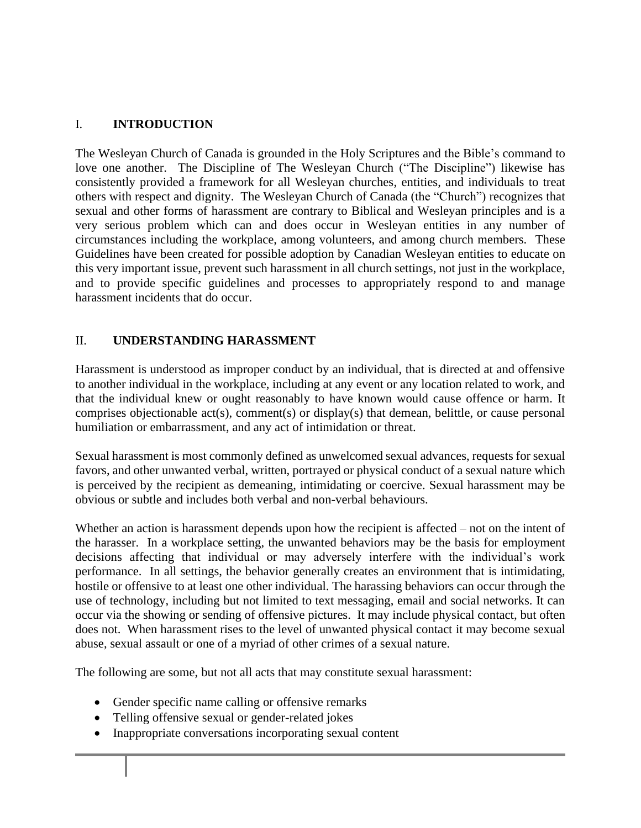#### I. **INTRODUCTION**

The Wesleyan Church of Canada is grounded in the Holy Scriptures and the Bible's command to love one another. The Discipline of The Wesleyan Church ("The Discipline") likewise has consistently provided a framework for all Wesleyan churches, entities, and individuals to treat others with respect and dignity. The Wesleyan Church of Canada (the "Church") recognizes that sexual and other forms of harassment are contrary to Biblical and Wesleyan principles and is a very serious problem which can and does occur in Wesleyan entities in any number of circumstances including the workplace, among volunteers, and among church members. These Guidelines have been created for possible adoption by Canadian Wesleyan entities to educate on this very important issue, prevent such harassment in all church settings, not just in the workplace, and to provide specific guidelines and processes to appropriately respond to and manage harassment incidents that do occur.

#### II. **UNDERSTANDING HARASSMENT**

Harassment is understood as improper conduct by an individual, that is directed at and offensive to another individual in the workplace, including at any event or any location related to work, and that the individual knew or ought reasonably to have known would cause offence or harm. It comprises objectionable act(s), comment(s) or display(s) that demean, belittle, or cause personal humiliation or embarrassment, and any act of intimidation or threat.

Sexual harassment is most commonly defined as unwelcomed sexual advances, requests for sexual favors, and other unwanted verbal, written, portrayed or physical conduct of a sexual nature which is perceived by the recipient as demeaning, intimidating or coercive. Sexual harassment may be obvious or subtle and includes both verbal and non-verbal behaviours.

Whether an action is harassment depends upon how the recipient is affected – not on the intent of the harasser. In a workplace setting, the unwanted behaviors may be the basis for employment decisions affecting that individual or may adversely interfere with the individual's work performance. In all settings, the behavior generally creates an environment that is intimidating, hostile or offensive to at least one other individual. The harassing behaviors can occur through the use of technology, including but not limited to text messaging, email and social networks. It can occur via the showing or sending of offensive pictures. It may include physical contact, but often does not. When harassment rises to the level of unwanted physical contact it may become sexual abuse, sexual assault or one of a myriad of other crimes of a sexual nature.

The following are some, but not all acts that may constitute sexual harassment:

- Gender specific name calling or offensive remarks
- Telling offensive sexual or gender-related jokes
- Inappropriate conversations incorporating sexual content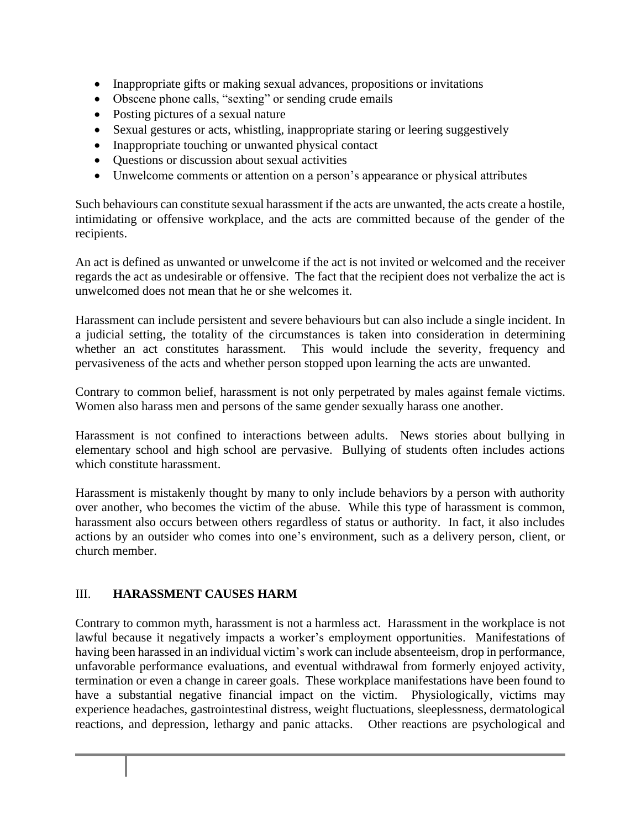- Inappropriate gifts or making sexual advances, propositions or invitations
- Obscene phone calls, "sexting" or sending crude emails
- Posting pictures of a sexual nature
- Sexual gestures or acts, whistling, inappropriate staring or leering suggestively
- Inappropriate touching or unwanted physical contact
- Questions or discussion about sexual activities
- Unwelcome comments or attention on a person's appearance or physical attributes

Such behaviours can constitute sexual harassment if the acts are unwanted, the acts create a hostile, intimidating or offensive workplace, and the acts are committed because of the gender of the recipients.

An act is defined as unwanted or unwelcome if the act is not invited or welcomed and the receiver regards the act as undesirable or offensive. The fact that the recipient does not verbalize the act is unwelcomed does not mean that he or she welcomes it.

Harassment can include persistent and severe behaviours but can also include a single incident. In a judicial setting, the totality of the circumstances is taken into consideration in determining whether an act constitutes harassment. This would include the severity, frequency and pervasiveness of the acts and whether person stopped upon learning the acts are unwanted.

Contrary to common belief, harassment is not only perpetrated by males against female victims. Women also harass men and persons of the same gender sexually harass one another.

Harassment is not confined to interactions between adults. News stories about bullying in elementary school and high school are pervasive. Bullying of students often includes actions which constitute harassment.

Harassment is mistakenly thought by many to only include behaviors by a person with authority over another, who becomes the victim of the abuse. While this type of harassment is common, harassment also occurs between others regardless of status or authority. In fact, it also includes actions by an outsider who comes into one's environment, such as a delivery person, client, or church member.

#### III. **HARASSMENT CAUSES HARM**

Contrary to common myth, harassment is not a harmless act. Harassment in the workplace is not lawful because it negatively impacts a worker's employment opportunities. Manifestations of having been harassed in an individual victim's work can include absenteeism, drop in performance, unfavorable performance evaluations, and eventual withdrawal from formerly enjoyed activity, termination or even a change in career goals. These workplace manifestations have been found to have a substantial negative financial impact on the victim. Physiologically, victims may experience headaches, gastrointestinal distress, weight fluctuations, sleeplessness, dermatological reactions, and depression, lethargy and panic attacks. Other reactions are psychological and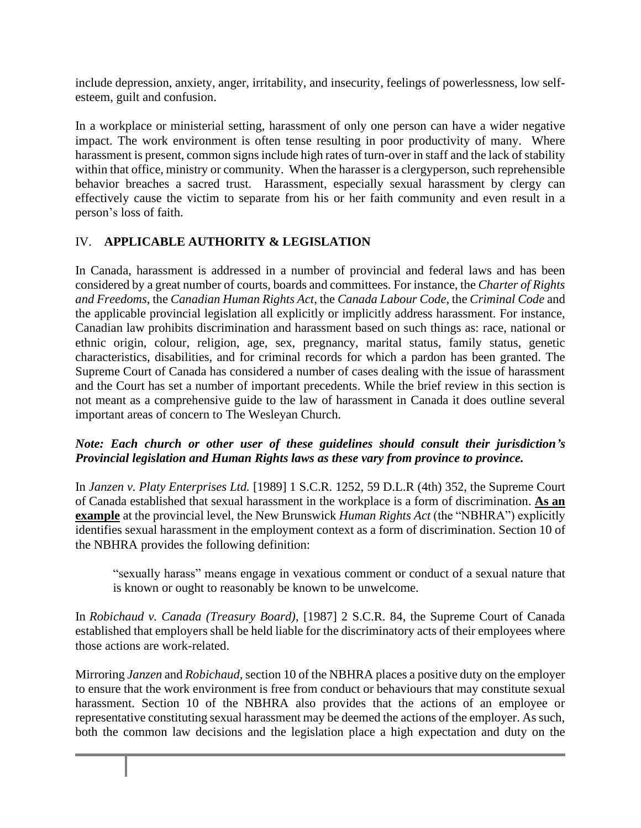include depression, anxiety, anger, irritability, and insecurity, feelings of powerlessness, low selfesteem, guilt and confusion.

In a workplace or ministerial setting, harassment of only one person can have a wider negative impact. The work environment is often tense resulting in poor productivity of many. Where harassment is present, common signs include high rates of turn-over in staff and the lack of stability within that office, ministry or community. When the harasser is a clergy person, such reprehensible behavior breaches a sacred trust. Harassment, especially sexual harassment by clergy can effectively cause the victim to separate from his or her faith community and even result in a person's loss of faith.

# IV. **APPLICABLE AUTHORITY & LEGISLATION**

In Canada, harassment is addressed in a number of provincial and federal laws and has been considered by a great number of courts, boards and committees. For instance, the *Charter of Rights and Freedoms*, the *Canadian Human Rights Act*, the *Canada Labour Code*, the *Criminal Code* and the applicable provincial legislation all explicitly or implicitly address harassment. For instance, Canadian law prohibits discrimination and harassment based on such things as: race, national or ethnic origin, colour, religion, age, sex, pregnancy, marital status, family status, genetic characteristics, disabilities, and for criminal records for which a pardon has been granted. The Supreme Court of Canada has considered a number of cases dealing with the issue of harassment and the Court has set a number of important precedents. While the brief review in this section is not meant as a comprehensive guide to the law of harassment in Canada it does outline several important areas of concern to The Wesleyan Church.

#### *Note: Each church or other user of these guidelines should consult their jurisdiction's Provincial legislation and Human Rights laws as these vary from province to province.*

In *Janzen v. Platy Enterprises Ltd.* [1989] 1 S.C.R. 1252, 59 D.L.R (4th) 352, the Supreme Court of Canada established that sexual harassment in the workplace is a form of discrimination. **As an example** at the provincial level, the New Brunswick *Human Rights Act* (the "NBHRA") explicitly identifies sexual harassment in the employment context as a form of discrimination. Section 10 of the NBHRA provides the following definition:

"sexually harass" means engage in vexatious comment or conduct of a sexual nature that is known or ought to reasonably be known to be unwelcome.

In *Robichaud v. Canada (Treasury Board)*, [1987] 2 S.C.R. 84, the Supreme Court of Canada established that employers shall be held liable for the discriminatory acts of their employees where those actions are work-related.

Mirroring *Janzen* and *Robichaud*, section 10 of the NBHRA places a positive duty on the employer to ensure that the work environment is free from conduct or behaviours that may constitute sexual harassment. Section 10 of the NBHRA also provides that the actions of an employee or representative constituting sexual harassment may be deemed the actions of the employer. As such, both the common law decisions and the legislation place a high expectation and duty on the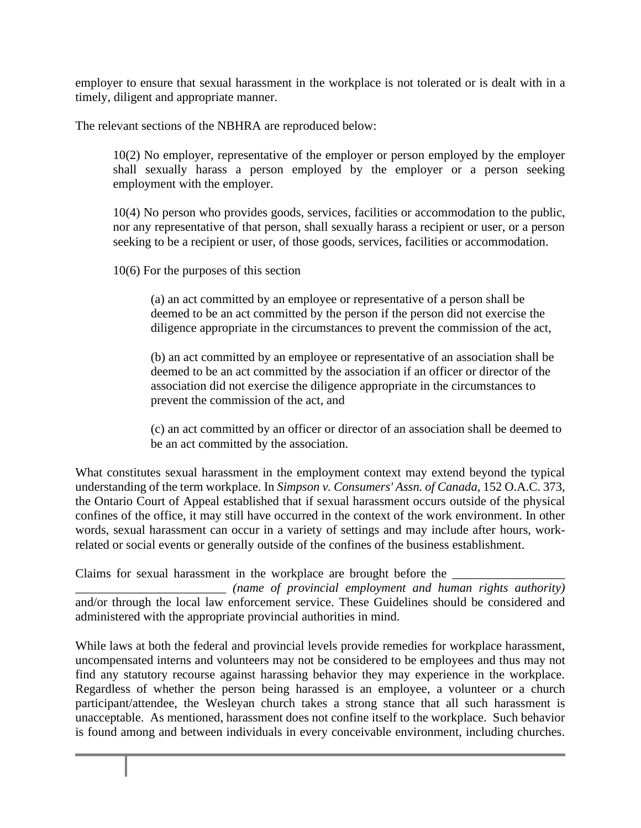employer to ensure that sexual harassment in the workplace is not tolerated or is dealt with in a timely, diligent and appropriate manner.

The relevant sections of the NBHRA are reproduced below:

10(2) No employer, representative of the employer or person employed by the employer shall sexually harass a person employed by the employer or a person seeking employment with the employer.

10(4) No person who provides goods, services, facilities or accommodation to the public, nor any representative of that person, shall sexually harass a recipient or user, or a person seeking to be a recipient or user, of those goods, services, facilities or accommodation.

10(6) For the purposes of this section

(a) an act committed by an employee or representative of a person shall be deemed to be an act committed by the person if the person did not exercise the diligence appropriate in the circumstances to prevent the commission of the act,

(b) an act committed by an employee or representative of an association shall be deemed to be an act committed by the association if an officer or director of the association did not exercise the diligence appropriate in the circumstances to prevent the commission of the act, and

(c) an act committed by an officer or director of an association shall be deemed to be an act committed by the association.

What constitutes sexual harassment in the employment context may extend beyond the typical understanding of the term workplace. In *Simpson v. Consumers' Assn. of Canada*, 152 O.A.C. 373, the Ontario Court of Appeal established that if sexual harassment occurs outside of the physical confines of the office, it may still have occurred in the context of the work environment. In other words, sexual harassment can occur in a variety of settings and may include after hours, workrelated or social events or generally outside of the confines of the business establishment.

Claims for sexual harassment in the workplace are brought before the  $\_\_$ 

\_\_\_\_\_\_\_\_\_\_\_\_\_\_\_\_\_\_\_\_\_\_\_\_ *(name of provincial employment and human rights authority)* and/or through the local law enforcement service. These Guidelines should be considered and administered with the appropriate provincial authorities in mind.

While laws at both the federal and provincial levels provide remedies for workplace harassment, uncompensated interns and volunteers may not be considered to be employees and thus may not find any statutory recourse against harassing behavior they may experience in the workplace. Regardless of whether the person being harassed is an employee, a volunteer or a church participant/attendee, the Wesleyan church takes a strong stance that all such harassment is unacceptable. As mentioned, harassment does not confine itself to the workplace. Such behavior is found among and between individuals in every conceivable environment, including churches.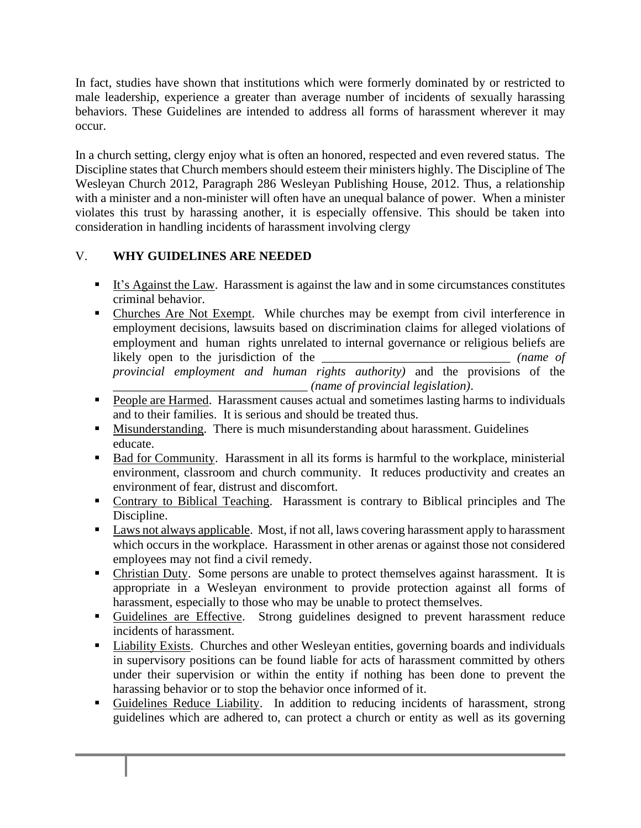In fact, studies have shown that institutions which were formerly dominated by or restricted to male leadership, experience a greater than average number of incidents of sexually harassing behaviors. These Guidelines are intended to address all forms of harassment wherever it may occur.

In a church setting, clergy enjoy what is often an honored, respected and even revered status. The Discipline states that Church members should esteem their ministers highly. The Discipline of The Wesleyan Church 2012, Paragraph 286 Wesleyan Publishing House, 2012. Thus, a relationship with a minister and a non-minister will often have an unequal balance of power. When a minister violates this trust by harassing another, it is especially offensive. This should be taken into consideration in handling incidents of harassment involving clergy

# V. **WHY GUIDELINES ARE NEEDED**

- **It's Against the Law.** Harassment is against the law and in some circumstances constitutes criminal behavior.
- Churches Are Not Exempt. While churches may be exempt from civil interference in employment decisions, lawsuits based on discrimination claims for alleged violations of employment and human rights unrelated to internal governance or religious beliefs are likely open to the jurisdiction of the \_\_\_\_\_\_\_\_\_\_\_\_\_\_\_\_\_\_\_\_\_\_\_\_\_\_\_\_\_\_ *(name of provincial employment and human rights authority)* and the provisions of the \_\_\_\_\_\_\_\_\_\_\_\_\_\_\_\_\_\_\_\_\_\_\_\_\_\_\_\_\_\_\_ *(name of provincial legislation)*.
- People are Harmed. Harassment causes actual and sometimes lasting harms to individuals and to their families. It is serious and should be treated thus.
- **■** Misunderstanding. There is much misunderstanding about harassment. Guidelines educate.
- Bad for Community. Harassment in all its forms is harmful to the workplace, ministerial environment, classroom and church community. It reduces productivity and creates an environment of fear, distrust and discomfort.
- Contrary to Biblical Teaching. Harassment is contrary to Biblical principles and The Discipline.
- Laws not always applicable. Most, if not all, laws covering harassment apply to harassment which occurs in the workplace. Harassment in other arenas or against those not considered employees may not find a civil remedy.
- Christian Duty. Some persons are unable to protect themselves against harassment. It is appropriate in a Wesleyan environment to provide protection against all forms of harassment, especially to those who may be unable to protect themselves.
- Guidelines are Effective. Strong guidelines designed to prevent harassment reduce incidents of harassment.
- Liability Exists. Churches and other Wesleyan entities, governing boards and individuals in supervisory positions can be found liable for acts of harassment committed by others under their supervision or within the entity if nothing has been done to prevent the harassing behavior or to stop the behavior once informed of it.
- Guidelines Reduce Liability. In addition to reducing incidents of harassment, strong guidelines which are adhered to, can protect a church or entity as well as its governing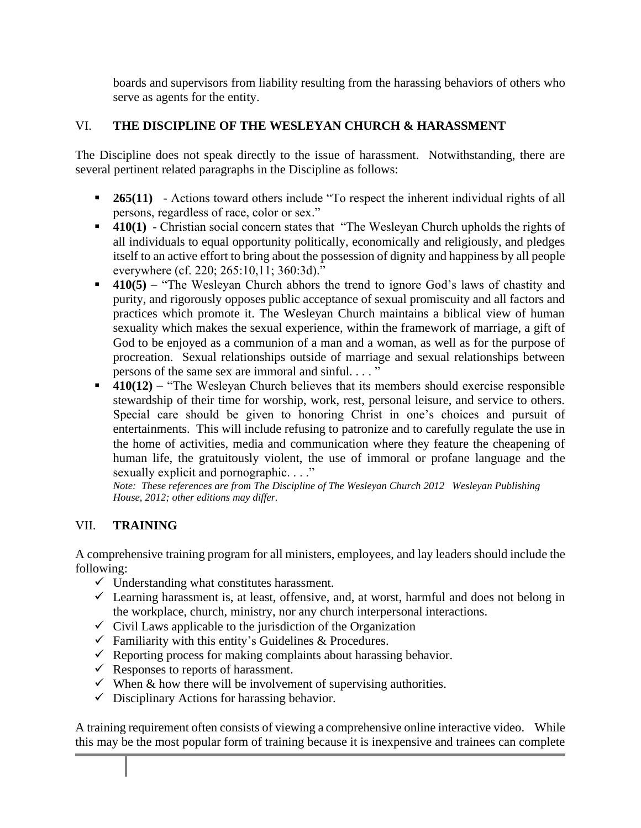boards and supervisors from liability resulting from the harassing behaviors of others who serve as agents for the entity.

# VI. **THE DISCIPLINE OF THE WESLEYAN CHURCH & HARASSMENT**

The Discipline does not speak directly to the issue of harassment. Notwithstanding, there are several pertinent related paragraphs in the Discipline as follows:

- **265(11)** Actions toward others include "To respect the inherent individual rights of all persons, regardless of race, color or sex."
- **410(1)** Christian social concern states that "The Wesleyan Church upholds the rights of all individuals to equal opportunity politically, economically and religiously, and pledges itself to an active effort to bring about the possession of dignity and happiness by all people everywhere (cf. 220; 265:10,11; 360:3d)."
- **410(5)** "The Wesleyan Church abhors the trend to ignore God's laws of chastity and purity, and rigorously opposes public acceptance of sexual promiscuity and all factors and practices which promote it. The Wesleyan Church maintains a biblical view of human sexuality which makes the sexual experience, within the framework of marriage, a gift of God to be enjoyed as a communion of a man and a woman, as well as for the purpose of procreation. Sexual relationships outside of marriage and sexual relationships between persons of the same sex are immoral and sinful. . . . "
- **410(12)** "The Wesleyan Church believes that its members should exercise responsible stewardship of their time for worship, work, rest, personal leisure, and service to others. Special care should be given to honoring Christ in one's choices and pursuit of entertainments. This will include refusing to patronize and to carefully regulate the use in the home of activities, media and communication where they feature the cheapening of human life, the gratuitously violent, the use of immoral or profane language and the sexually explicit and pornographic. . . ."

*Note: These references are from The Discipline of The Wesleyan Church 2012 Wesleyan Publishing House, 2012; other editions may differ.*

# VII. **TRAINING**

A comprehensive training program for all ministers, employees, and lay leaders should include the following:

- $\checkmark$  Understanding what constitutes harassment.
- $\checkmark$  Learning harassment is, at least, offensive, and, at worst, harmful and does not belong in the workplace, church, ministry, nor any church interpersonal interactions.
- $\checkmark$  Civil Laws applicable to the jurisdiction of the Organization
- $\checkmark$  Familiarity with this entity's Guidelines & Procedures.
- $\checkmark$  Reporting process for making complaints about harassing behavior.
- $\checkmark$  Responses to reports of harassment.
- $\checkmark$  When & how there will be involvement of supervising authorities.
- $\checkmark$  Disciplinary Actions for harassing behavior.

A training requirement often consists of viewing a comprehensive online interactive video. While this may be the most popular form of training because it is inexpensive and trainees can complete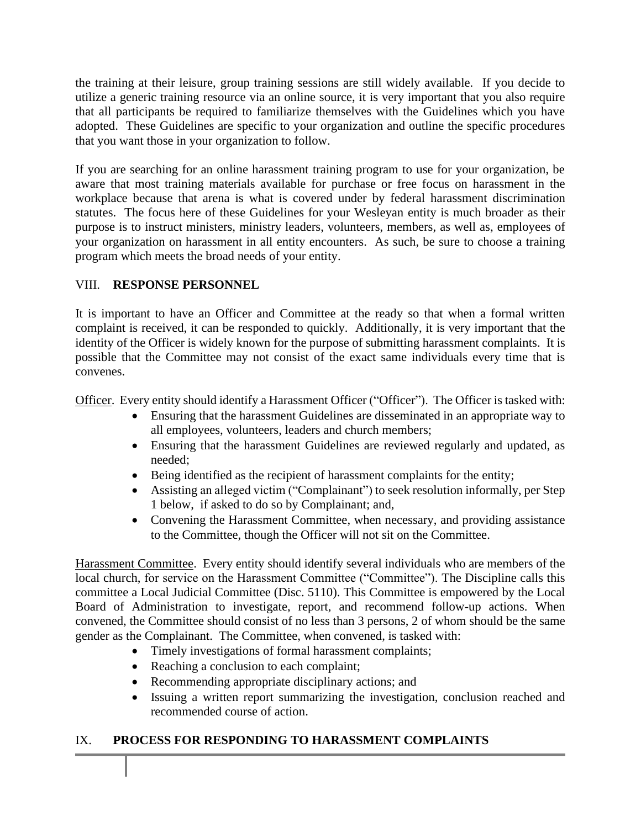the training at their leisure, group training sessions are still widely available. If you decide to utilize a generic training resource via an online source, it is very important that you also require that all participants be required to familiarize themselves with the Guidelines which you have adopted. These Guidelines are specific to your organization and outline the specific procedures that you want those in your organization to follow.

If you are searching for an online harassment training program to use for your organization, be aware that most training materials available for purchase or free focus on harassment in the workplace because that arena is what is covered under by federal harassment discrimination statutes. The focus here of these Guidelines for your Wesleyan entity is much broader as their purpose is to instruct ministers, ministry leaders, volunteers, members, as well as, employees of your organization on harassment in all entity encounters. As such, be sure to choose a training program which meets the broad needs of your entity.

#### VIII. **RESPONSE PERSONNEL**

It is important to have an Officer and Committee at the ready so that when a formal written complaint is received, it can be responded to quickly. Additionally, it is very important that the identity of the Officer is widely known for the purpose of submitting harassment complaints. It is possible that the Committee may not consist of the exact same individuals every time that is convenes.

Officer. Every entity should identify a Harassment Officer ("Officer"). The Officer is tasked with:

- Ensuring that the harassment Guidelines are disseminated in an appropriate way to all employees, volunteers, leaders and church members;
- Ensuring that the harassment Guidelines are reviewed regularly and updated, as needed;
- Being identified as the recipient of harassment complaints for the entity;
- Assisting an alleged victim ("Complainant") to seek resolution informally, per Step 1 below, if asked to do so by Complainant; and,
- Convening the Harassment Committee, when necessary, and providing assistance to the Committee, though the Officer will not sit on the Committee.

Harassment Committee. Every entity should identify several individuals who are members of the local church, for service on the Harassment Committee ("Committee"). The Discipline calls this committee a Local Judicial Committee (Disc. 5110). This Committee is empowered by the Local Board of Administration to investigate, report, and recommend follow-up actions. When convened, the Committee should consist of no less than 3 persons, 2 of whom should be the same gender as the Complainant. The Committee, when convened, is tasked with:

- Timely investigations of formal harassment complaints;
- Reaching a conclusion to each complaint;
- Recommending appropriate disciplinary actions; and
- Issuing a written report summarizing the investigation, conclusion reached and recommended course of action.

# IX. **PROCESS FOR RESPONDING TO HARASSMENT COMPLAINTS**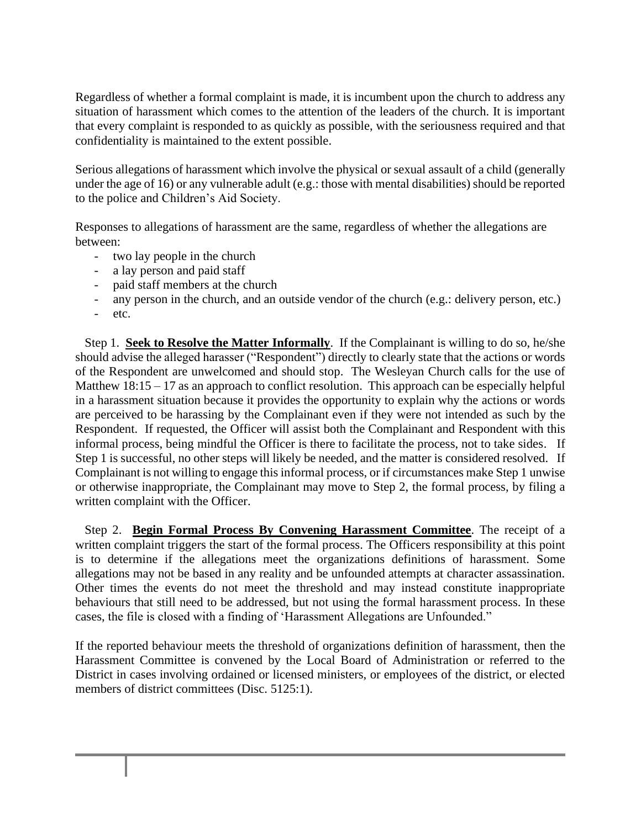Regardless of whether a formal complaint is made, it is incumbent upon the church to address any situation of harassment which comes to the attention of the leaders of the church. It is important that every complaint is responded to as quickly as possible, with the seriousness required and that confidentiality is maintained to the extent possible.

Serious allegations of harassment which involve the physical or sexual assault of a child (generally under the age of 16) or any vulnerable adult (e.g.: those with mental disabilities) should be reported to the police and Children's Aid Society.

Responses to allegations of harassment are the same, regardless of whether the allegations are between:

- two lay people in the church
- a lay person and paid staff
- paid staff members at the church
- any person in the church, and an outside vendor of the church (e.g.: delivery person, etc.)
- etc.

 Step 1. **Seek to Resolve the Matter Informally**. If the Complainant is willing to do so, he/she should advise the alleged harasser ("Respondent") directly to clearly state that the actions or words of the Respondent are unwelcomed and should stop. The Wesleyan Church calls for the use of Matthew 18:15 – 17 as an approach to conflict resolution. This approach can be especially helpful in a harassment situation because it provides the opportunity to explain why the actions or words are perceived to be harassing by the Complainant even if they were not intended as such by the Respondent. If requested, the Officer will assist both the Complainant and Respondent with this informal process, being mindful the Officer is there to facilitate the process, not to take sides. If Step 1 is successful, no other steps will likely be needed, and the matter is considered resolved. If Complainant is not willing to engage this informal process, or if circumstances make Step 1 unwise or otherwise inappropriate, the Complainant may move to Step 2, the formal process, by filing a written complaint with the Officer.

 Step 2. **Begin Formal Process By Convening Harassment Committee**. The receipt of a written complaint triggers the start of the formal process. The Officers responsibility at this point is to determine if the allegations meet the organizations definitions of harassment. Some allegations may not be based in any reality and be unfounded attempts at character assassination. Other times the events do not meet the threshold and may instead constitute inappropriate behaviours that still need to be addressed, but not using the formal harassment process. In these cases, the file is closed with a finding of 'Harassment Allegations are Unfounded."

If the reported behaviour meets the threshold of organizations definition of harassment, then the Harassment Committee is convened by the Local Board of Administration or referred to the District in cases involving ordained or licensed ministers, or employees of the district, or elected members of district committees (Disc. 5125:1).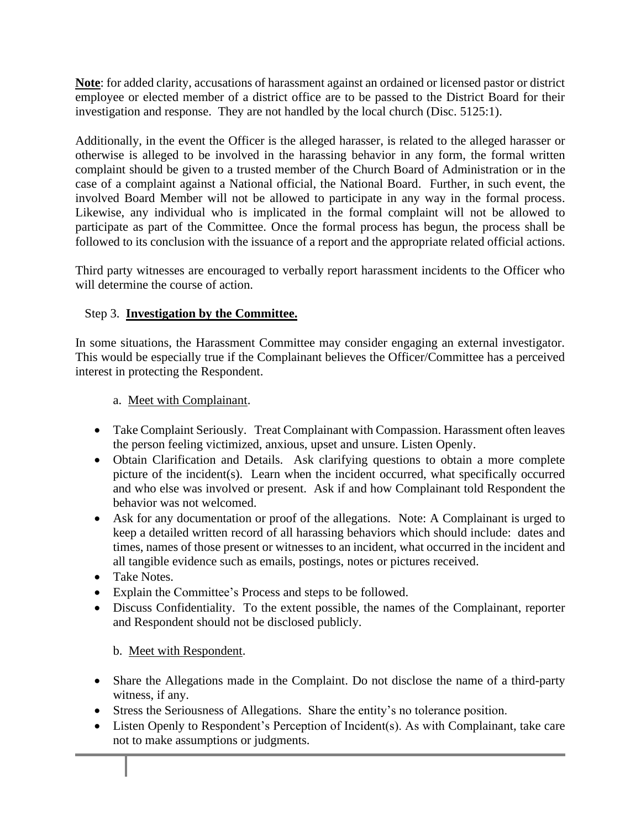**Note**: for added clarity, accusations of harassment against an ordained or licensed pastor or district employee or elected member of a district office are to be passed to the District Board for their investigation and response. They are not handled by the local church (Disc. 5125:1).

Additionally, in the event the Officer is the alleged harasser, is related to the alleged harasser or otherwise is alleged to be involved in the harassing behavior in any form, the formal written complaint should be given to a trusted member of the Church Board of Administration or in the case of a complaint against a National official, the National Board. Further, in such event, the involved Board Member will not be allowed to participate in any way in the formal process. Likewise, any individual who is implicated in the formal complaint will not be allowed to participate as part of the Committee. Once the formal process has begun, the process shall be followed to its conclusion with the issuance of a report and the appropriate related official actions.

Third party witnesses are encouraged to verbally report harassment incidents to the Officer who will determine the course of action.

#### Step 3. **Investigation by the Committee.**

In some situations, the Harassment Committee may consider engaging an external investigator. This would be especially true if the Complainant believes the Officer/Committee has a perceived interest in protecting the Respondent.

#### a. Meet with Complainant.

- Take Complaint Seriously. Treat Complainant with Compassion. Harassment often leaves the person feeling victimized, anxious, upset and unsure. Listen Openly.
- Obtain Clarification and Details. Ask clarifying questions to obtain a more complete picture of the incident(s). Learn when the incident occurred, what specifically occurred and who else was involved or present. Ask if and how Complainant told Respondent the behavior was not welcomed.
- Ask for any documentation or proof of the allegations. Note: A Complainant is urged to keep a detailed written record of all harassing behaviors which should include: dates and times, names of those present or witnesses to an incident, what occurred in the incident and all tangible evidence such as emails, postings, notes or pictures received.
- Take Notes.
- Explain the Committee's Process and steps to be followed.
- Discuss Confidentiality. To the extent possible, the names of the Complainant, reporter and Respondent should not be disclosed publicly.

#### b. Meet with Respondent.

- Share the Allegations made in the Complaint. Do not disclose the name of a third-party witness, if any.
- Stress the Seriousness of Allegations. Share the entity's no tolerance position.
- Listen Openly to Respondent's Perception of Incident(s). As with Complainant, take care not to make assumptions or judgments.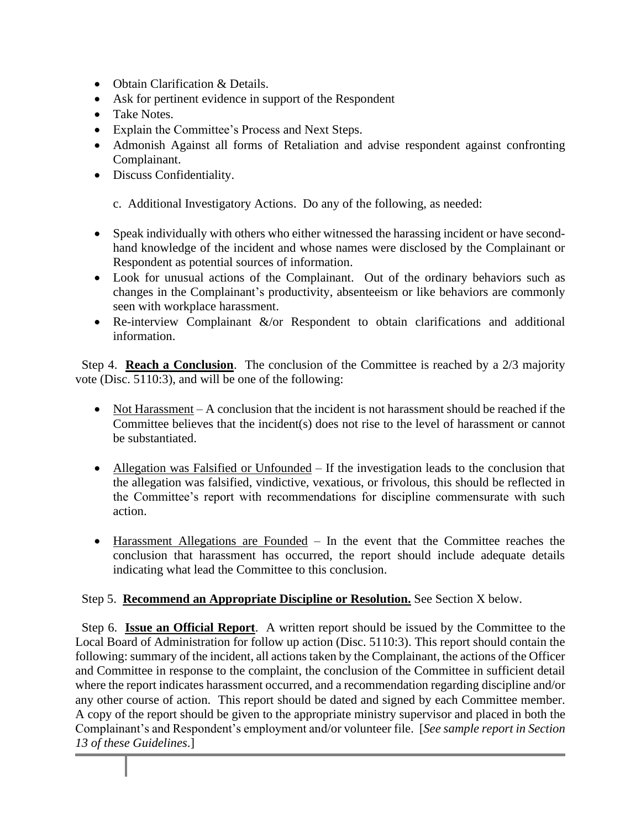- Obtain Clarification & Details.
- Ask for pertinent evidence in support of the Respondent
- Take Notes.
- Explain the Committee's Process and Next Steps.
- Admonish Against all forms of Retaliation and advise respondent against confronting Complainant.
- Discuss Confidentiality.

c. Additional Investigatory Actions. Do any of the following, as needed:

- Speak individually with others who either witnessed the harassing incident or have secondhand knowledge of the incident and whose names were disclosed by the Complainant or Respondent as potential sources of information.
- Look for unusual actions of the Complainant. Out of the ordinary behaviors such as changes in the Complainant's productivity, absenteeism or like behaviors are commonly seen with workplace harassment.
- Re-interview Complainant &/or Respondent to obtain clarifications and additional information.

 Step 4. **Reach a Conclusion**. The conclusion of the Committee is reached by a 2/3 majority vote (Disc. 5110:3), and will be one of the following:

- Not Harassment A conclusion that the incident is not harassment should be reached if the Committee believes that the incident(s) does not rise to the level of harassment or cannot be substantiated.
- Allegation was Falsified or Unfounded If the investigation leads to the conclusion that the allegation was falsified, vindictive, vexatious, or frivolous, this should be reflected in the Committee's report with recommendations for discipline commensurate with such action.
- Harassment Allegations are Founded In the event that the Committee reaches the conclusion that harassment has occurred, the report should include adequate details indicating what lead the Committee to this conclusion.

#### Step 5. **Recommend an Appropriate Discipline or Resolution.** See Section X below.

 Step 6. **Issue an Official Report**. A written report should be issued by the Committee to the Local Board of Administration for follow up action (Disc. 5110:3). This report should contain the following: summary of the incident, all actions taken by the Complainant, the actions of the Officer and Committee in response to the complaint, the conclusion of the Committee in sufficient detail where the report indicates harassment occurred, and a recommendation regarding discipline and/or any other course of action. This report should be dated and signed by each Committee member. A copy of the report should be given to the appropriate ministry supervisor and placed in both the Complainant's and Respondent's employment and/or volunteer file. [*See sample report in Section 13 of these Guidelines*.]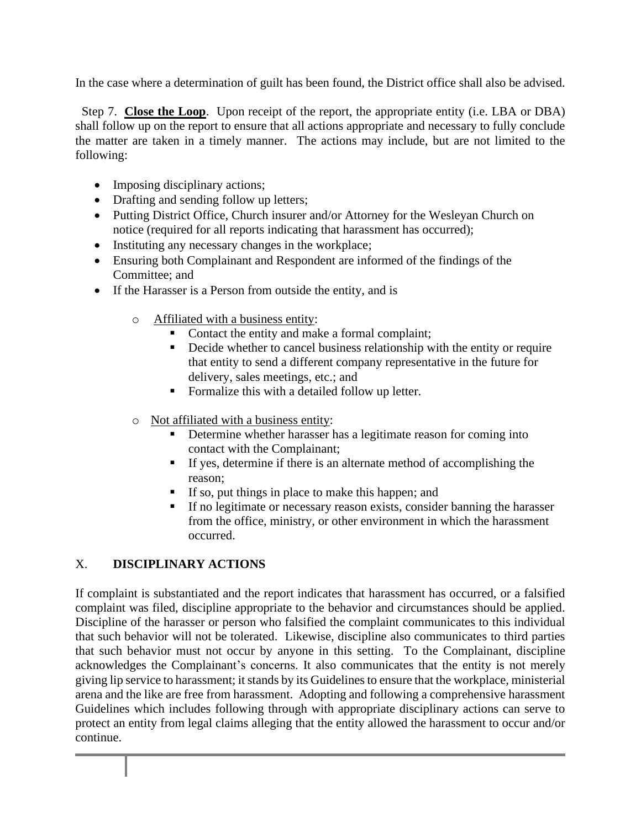In the case where a determination of guilt has been found, the District office shall also be advised.

 Step 7. **Close the Loop**. Upon receipt of the report, the appropriate entity (i.e. LBA or DBA) shall follow up on the report to ensure that all actions appropriate and necessary to fully conclude the matter are taken in a timely manner. The actions may include, but are not limited to the following:

- Imposing disciplinary actions;
- Drafting and sending follow up letters;
- Putting District Office, Church insurer and/or Attorney for the Wesleyan Church on notice (required for all reports indicating that harassment has occurred);
- Instituting any necessary changes in the workplace;
- Ensuring both Complainant and Respondent are informed of the findings of the Committee; and
- If the Harasser is a Person from outside the entity, and is
	- o Affiliated with a business entity:
		- Contact the entity and make a formal complaint;
		- Decide whether to cancel business relationship with the entity or require that entity to send a different company representative in the future for delivery, sales meetings, etc.; and
		- Formalize this with a detailed follow up letter.
	- o Not affiliated with a business entity:
		- **•** Determine whether harasser has a legitimate reason for coming into contact with the Complainant;
		- **•** If yes, determine if there is an alternate method of accomplishing the reason;
		- If so, put things in place to make this happen; and
		- **If no legitimate or necessary reason exists, consider banning the harasser** from the office, ministry, or other environment in which the harassment occurred.

# X. **DISCIPLINARY ACTIONS**

If complaint is substantiated and the report indicates that harassment has occurred, or a falsified complaint was filed, discipline appropriate to the behavior and circumstances should be applied. Discipline of the harasser or person who falsified the complaint communicates to this individual that such behavior will not be tolerated. Likewise, discipline also communicates to third parties that such behavior must not occur by anyone in this setting. To the Complainant, discipline acknowledges the Complainant's concerns. It also communicates that the entity is not merely giving lip service to harassment; it stands by its Guidelinesto ensure that the workplace, ministerial arena and the like are free from harassment. Adopting and following a comprehensive harassment Guidelines which includes following through with appropriate disciplinary actions can serve to protect an entity from legal claims alleging that the entity allowed the harassment to occur and/or continue.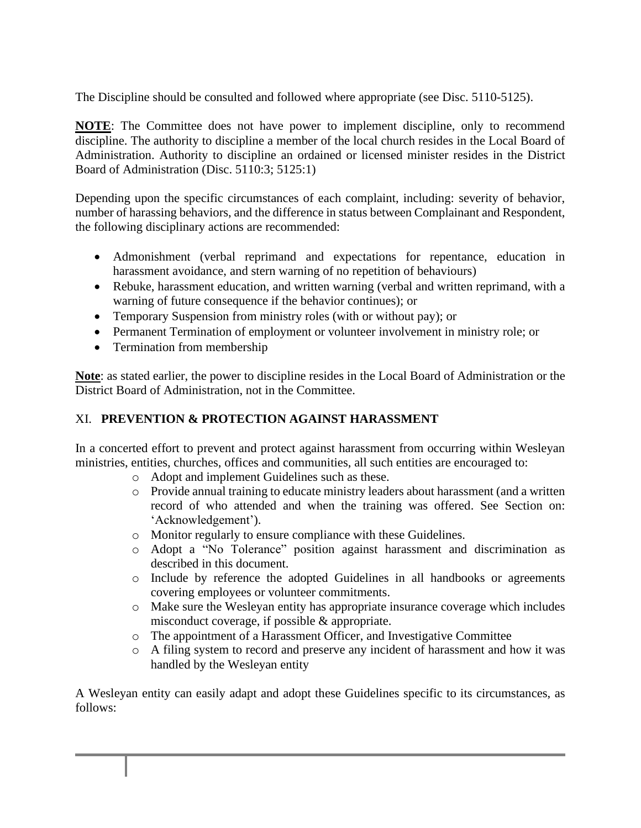The Discipline should be consulted and followed where appropriate (see Disc. 5110-5125).

**NOTE**: The Committee does not have power to implement discipline, only to recommend discipline. The authority to discipline a member of the local church resides in the Local Board of Administration. Authority to discipline an ordained or licensed minister resides in the District Board of Administration (Disc. 5110:3; 5125:1)

Depending upon the specific circumstances of each complaint, including: severity of behavior, number of harassing behaviors, and the difference in status between Complainant and Respondent, the following disciplinary actions are recommended:

- Admonishment (verbal reprimand and expectations for repentance, education in harassment avoidance, and stern warning of no repetition of behaviours)
- Rebuke, harassment education, and written warning (verbal and written reprimand, with a warning of future consequence if the behavior continues); or
- Temporary Suspension from ministry roles (with or without pay); or
- Permanent Termination of employment or volunteer involvement in ministry role; or
- Termination from membership

**Note**: as stated earlier, the power to discipline resides in the Local Board of Administration or the District Board of Administration, not in the Committee.

# XI. **PREVENTION & PROTECTION AGAINST HARASSMENT**

In a concerted effort to prevent and protect against harassment from occurring within Wesleyan ministries, entities, churches, offices and communities, all such entities are encouraged to:

- o Adopt and implement Guidelines such as these.
- o Provide annual training to educate ministry leaders about harassment (and a written record of who attended and when the training was offered. See Section on: 'Acknowledgement').
- o Monitor regularly to ensure compliance with these Guidelines.
- o Adopt a "No Tolerance" position against harassment and discrimination as described in this document.
- o Include by reference the adopted Guidelines in all handbooks or agreements covering employees or volunteer commitments.
- o Make sure the Wesleyan entity has appropriate insurance coverage which includes misconduct coverage, if possible & appropriate.
- o The appointment of a Harassment Officer, and Investigative Committee
- o A filing system to record and preserve any incident of harassment and how it was handled by the Wesleyan entity

A Wesleyan entity can easily adapt and adopt these Guidelines specific to its circumstances, as follows: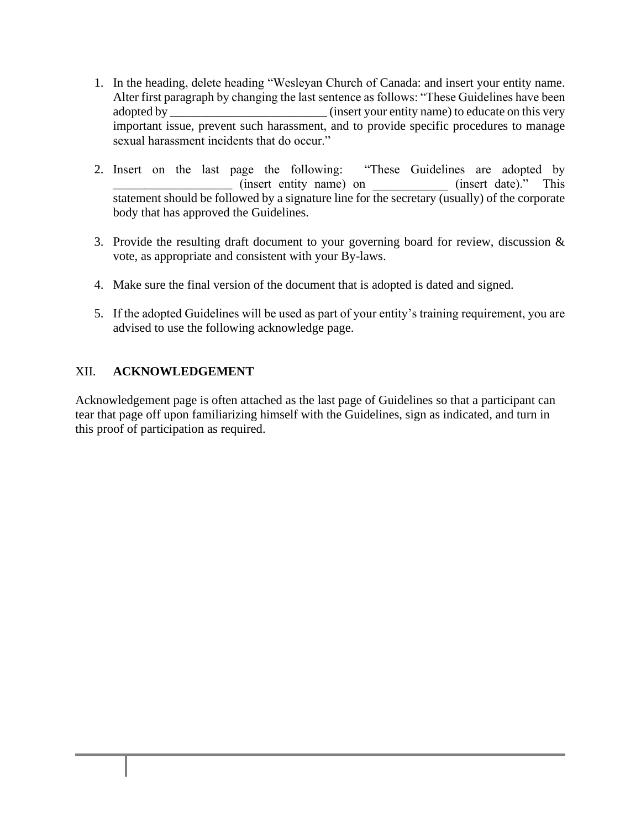- 1. In the heading, delete heading "Wesleyan Church of Canada: and insert your entity name. Alter first paragraph by changing the last sentence as follows: "These Guidelines have been adopted by \_\_\_\_\_\_\_\_\_\_\_\_\_\_\_\_\_\_\_\_\_\_\_\_\_ (insert your entity name) to educate on this very important issue, prevent such harassment, and to provide specific procedures to manage sexual harassment incidents that do occur."
- 2. Insert on the last page the following: "These Guidelines are adopted by (insert entity name) on  $(insert date)."$  This statement should be followed by a signature line for the secretary (usually) of the corporate body that has approved the Guidelines.
- 3. Provide the resulting draft document to your governing board for review, discussion  $\&$ vote, as appropriate and consistent with your By-laws.
- 4. Make sure the final version of the document that is adopted is dated and signed.
- 5. If the adopted Guidelines will be used as part of your entity's training requirement, you are advised to use the following acknowledge page.

#### XII. **ACKNOWLEDGEMENT**

Acknowledgement page is often attached as the last page of Guidelines so that a participant can tear that page off upon familiarizing himself with the Guidelines, sign as indicated, and turn in this proof of participation as required.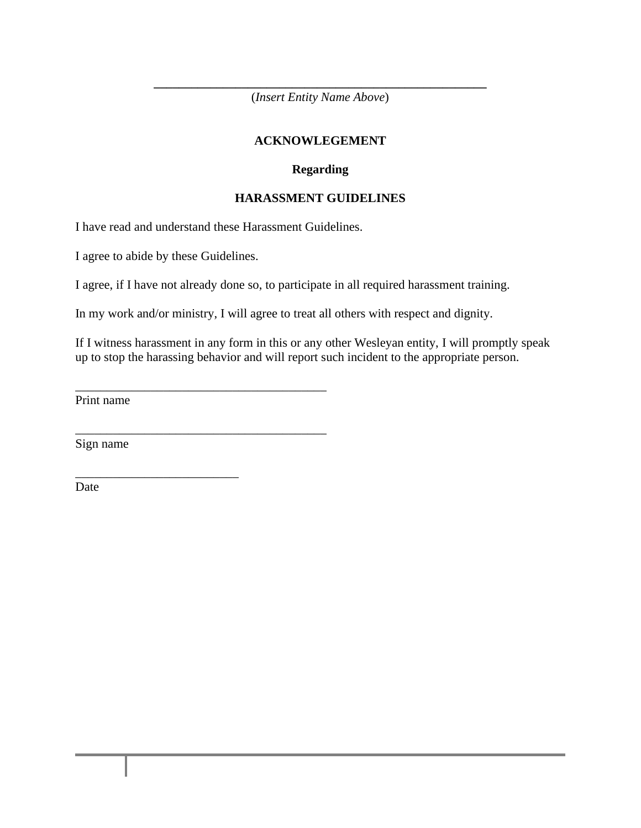**\_\_\_\_\_\_\_\_\_\_\_\_\_\_\_\_\_\_\_\_\_\_\_\_\_\_\_\_\_\_\_\_\_\_\_\_\_\_\_\_\_\_\_\_\_\_\_\_\_\_\_\_\_** (*Insert Entity Name Above*)

#### **ACKNOWLEGEMENT**

#### **Regarding**

#### **HARASSMENT GUIDELINES**

I have read and understand these Harassment Guidelines.

\_\_\_\_\_\_\_\_\_\_\_\_\_\_\_\_\_\_\_\_\_\_\_\_\_\_\_\_\_\_\_\_\_\_\_\_\_\_\_\_

\_\_\_\_\_\_\_\_\_\_\_\_\_\_\_\_\_\_\_\_\_\_\_\_\_\_\_\_\_\_\_\_\_\_\_\_\_\_\_\_

\_\_\_\_\_\_\_\_\_\_\_\_\_\_\_\_\_\_\_\_\_\_\_\_\_\_

I agree to abide by these Guidelines.

I agree, if I have not already done so, to participate in all required harassment training.

In my work and/or ministry, I will agree to treat all others with respect and dignity.

If I witness harassment in any form in this or any other Wesleyan entity, I will promptly speak up to stop the harassing behavior and will report such incident to the appropriate person.

Print name

Sign name

Date